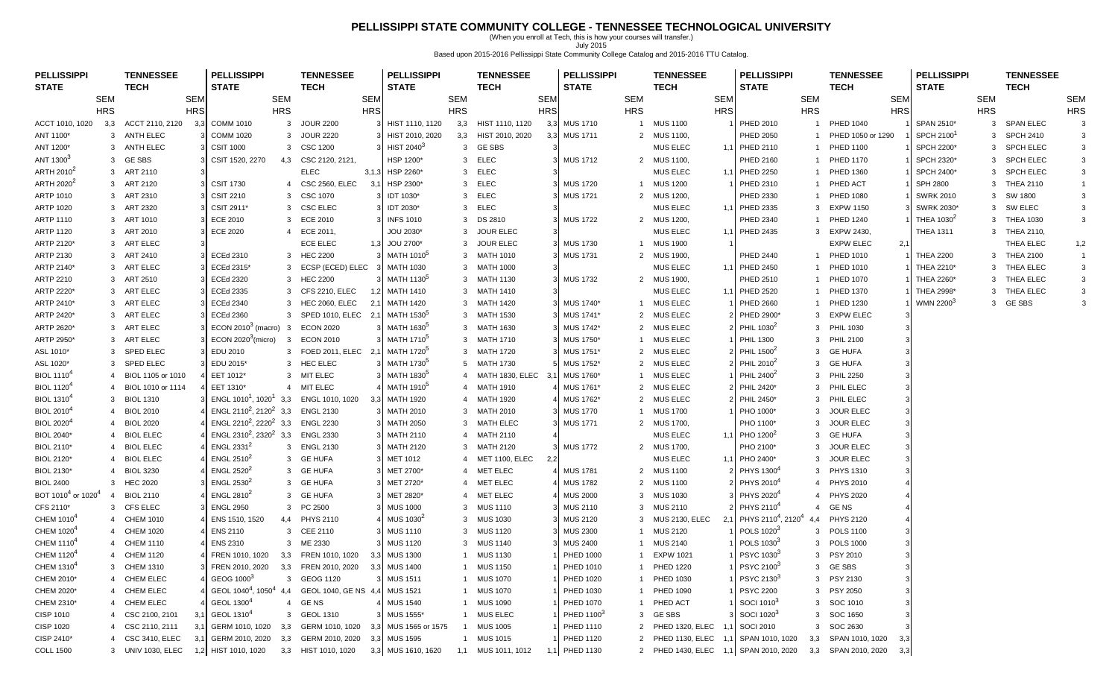## **PELLISSIPPI STATE COMMUNITY COLLEGE - TENNESSEE TECHNOLOGICAL UNIVERSITY**

(When you enroll at Tech, this is how your courses will transfer.) July 2015 Based upon 2015-2016 Pellissippi State Community College Catalog and 2015-2016 TTU Catalog.

| <b>PELLISSIPPI</b>                         |            | <b>TENNESSEE</b>    |            | <b>PELLISSIPPI</b>                             |                         | <b>TENNESSEE</b>                                 |            | <b>PELLISSIPPI</b>       |            | <b>TENNESSEE</b>   |            | <b>PELLISSIPPI</b>     |                | <b>TENNESSEE</b>      |            | <b>PELLISSIPPI</b>                         |                | <b>TENNESSEE</b>           |     | <b>PELLISSIPPI</b>     |            | <b>TENNESSEE</b> |                |
|--------------------------------------------|------------|---------------------|------------|------------------------------------------------|-------------------------|--------------------------------------------------|------------|--------------------------|------------|--------------------|------------|------------------------|----------------|-----------------------|------------|--------------------------------------------|----------------|----------------------------|-----|------------------------|------------|------------------|----------------|
| <b>STATE</b>                               |            | <b>TECH</b>         |            | <b>STATE</b>                                   |                         | <b>TECH</b>                                      |            | <b>STATE</b>             |            | <b>TECH</b>        |            | <b>STATE</b>           |                | TECH                  |            | <b>STATE</b>                               |                | <b>TECH</b>                |     | <b>STATE</b>           |            | <b>TECH</b>      |                |
|                                            | <b>SEM</b> |                     | <b>SEM</b> |                                                | <b>SEM</b>              |                                                  | <b>SEM</b> |                          | <b>SEM</b> |                    | <b>SEM</b> |                        | SEM            |                       | <b>SEM</b> |                                            | SEM            | <b>SEM</b>                 |     |                        | <b>SEM</b> |                  | <b>SEM</b>     |
|                                            | <b>HRS</b> |                     | <b>HRS</b> |                                                | <b>HRS</b>              |                                                  | <b>HRS</b> |                          | <b>HRS</b> |                    | <b>HRS</b> |                        | <b>HRS</b>     |                       | <b>HRS</b> |                                            | <b>HRS</b>     | <b>HRS</b>                 |     |                        | <b>HRS</b> |                  | <b>HRS</b>     |
| ACCT 1010, 1020                            | 3,3        | ACCT 2110, 2120     | 3,3        | <b>COMM 1010</b>                               | 3                       | <b>JOUR 2200</b>                                 |            | HIST 1110, 1120          | 3,3        | HIST 1110, 1120    | 3,3        | <b>MUS 1710</b>        | $\overline{1}$ | <b>MUS 1100</b>       |            | PHED 2010                                  | -1             | <b>PHED 1040</b>           |     | SPAN 2510*             |            | 3 SPAN ELEC      |                |
| ANT 1100*                                  |            | 3 ANTH ELEC         |            | <b>COMM 1020</b>                               | 3                       | <b>JOUR 2220</b>                                 | 3.         | HIST 2010, 2020          | 3,3        | HIST 2010, 2020    | 3,3        | <b>MUS 1711</b>        |                | 2 MUS 1100,           |            | PHED 2050                                  |                | PHED 1050 or 1290          |     | SPCH 2100 <sup>1</sup> |            | 3 SPCH 2410      |                |
| ANT 1200*                                  |            | 3 ANTH ELEC         |            | <b>CSIT 1000</b>                               |                         | 3 CSC 1200                                       |            | HIST 2040 <sup>3</sup>   |            | 3 GESBS            |            |                        |                | MUS ELEC              |            | 1,1 PHED 2110                              |                | PHED 1100                  |     | SPCH 2200*             |            | 3 SPCH ELEC      | 3              |
| ANT 1300 <sup>3</sup>                      |            | 3 GESBS             |            | CSIT 1520, 2270                                |                         | 4,3 CSC 2120, 2121,                              |            | HSP 1200*                |            | 3 ELEC             |            | <b>MUS 1712</b>        |                | 2 MUS 1100,           |            | PHED 2160                                  |                | <b>PHED 1170</b>           |     | SPCH 2320*             |            | 3 SPCH ELEC      | 3              |
| ARTH 2010 <sup>2</sup>                     |            | 3 ART 2110          |            |                                                |                         | <b>ELEC</b>                                      |            | 3,1,3 HSP 2260*          |            | 3 ELEC             |            |                        |                | <b>MUS ELEC</b>       |            | <b>PHED 2250</b>                           |                | PHED 1360                  |     | SPCH 2400*             |            | 3 SPCH ELEC      | 3              |
| ARTH 2020 <sup>2</sup>                     |            | 3 ART 2120          |            | <b>CSIT 1730</b>                               | 4                       | <b>CSC 2560, ELEC</b>                            | 3,1        | HSP 2300*                | 3          | <b>ELEC</b>        |            | <b>MUS 1720</b>        |                | 1 MUS 1200            |            | PHED 2310                                  |                | PHED ACT                   |     | <b>SPH 2800</b>        |            | 3 THEA 2110      |                |
| <b>ARTP 1010</b>                           |            | 3 ART 2310          |            | <b>CSIT 2210</b>                               | 3                       | CSC 1070                                         |            | 3 IDT 1030*              | 3          | <b>ELEC</b>        |            | <b>MUS 1721</b>        |                | 2 MUS 1200,           |            | PHED 2330                                  |                | <b>PHED 1080</b>           |     | <b>SWRK 2010</b>       |            | 3 SW 1800        |                |
| ARTP 1020                                  |            | 3 ART 2320          |            | CSIT 2911*                                     | 3                       | <b>CSC ELEC</b>                                  |            | 3 IDT 2030*              | 3          | ELEC               |            |                        |                | MUS ELEC              |            | 1,1 PHED 2335                              | -3             | <b>EXPW 1150</b>           |     | SWRK 2030*             |            | 3 SW ELEC        | 3              |
| ARTP 1110                                  |            | 3 ART 1010          |            | ECE 2010                                       |                         | 3 ECE 2010                                       |            | 3 INFS 1010              |            | 3 DS 2810          |            | <b>MUS 1722</b>        |                | 2 MUS 1200,           |            | PHED 2340                                  |                | <b>PHED 1240</b>           |     | THEA 1030 <sup>2</sup> |            | 3 THEA 1030      | 3              |
| <b>ARTP 1120</b>                           |            | 3 ART 2010          |            | <b>ECE 2020</b>                                |                         | 4 ECE 2011,                                      |            | JOU 2030*                |            | 3 JOUR ELEC        |            |                        |                | <b>MUS ELEC</b>       | 1.1        | PHED 2435                                  | 3              | EXPW 2430,                 |     | <b>THEA 1311</b>       |            | 3 THEA 2110,     |                |
| ARTP 2120*                                 |            | 3 ART ELEC          |            |                                                |                         | <b>ECE ELEC</b>                                  |            | 1,3 JOU 2700*            |            | 3 JOUR ELEC        |            | <b>MUS 1730</b>        |                | 1 MUS 1900            |            |                                            |                | <b>EXPW ELEC</b>           | 2,1 |                        |            | THEA ELEC        | 1,2            |
| ARTP 2130                                  |            | 3 ART 2410          |            | ECEd 2310                                      |                         | 3 HEC 2200                                       |            | MATH 1010 <sup>5</sup>   |            | 3 MATH 1010        |            | <b>MUS 1731</b>        |                | 2 MUS 1900,           |            | PHED 2440                                  |                | <b>PHED 1010</b>           |     | <b>THEA 2200</b>       |            | 3 THEA 2100      | $\overline{1}$ |
| ARTP 2140*                                 |            | 3 ART ELEC          |            | ECEd 2315*                                     | 3                       | ECSP (ECED) ELEC                                 |            | <b>MATH 1030</b>         |            | 3 MATH 1000        |            |                        |                | <b>MUS ELEC</b>       |            | 1,1 PHED 2450                              |                | PHED 1010                  |     | THEA 2210*             |            | 3 THEA ELEC      | 3              |
| ARTP 2210                                  |            | 3 ART 2510          |            | <b>ECEd 2320</b>                               |                         | 3 HEC 2200                                       |            | 3 MATH 1130 <sup>5</sup> |            | 3 MATH 1130        |            | <b>MUS 1732</b>        |                | 2 MUS 1900,           |            | PHED 2510                                  |                | <b>PHED 1070</b>           |     | THEA 2260*             |            | 3 THEA ELEC      | 3              |
| ARTP 2220*                                 |            | 3 ART ELEC          |            | <b>ECEd 2335</b>                               |                         | 3 CFS 2210, ELEC                                 |            | <b>MATH 1410</b>         |            | 3 MATH 1410        |            |                        |                | <b>MUS ELEC</b>       |            | <b>PHED 2520</b>                           |                | <b>PHED 1370</b>           |     | THEA 2998*             |            | 3 THEA ELEC      | 3              |
| ARTP 2410*                                 |            | 3 ART ELEC          |            | <b>ECEd 2340</b>                               | 3                       | <b>HEC 2060, ELEC</b>                            | 2,1        | <b>MATH 1420</b>         |            | 3 MATH 1420        |            | MUS 1740*              |                | 1 MUS ELEC            |            | PHED 2660                                  |                | PHED 1230                  |     | WMN 2200 <sup>3</sup>  |            | 3 GESBS          |                |
| ARTP 2420*                                 |            | 3 ART ELEC          |            | <b>ECEd 2360</b>                               | 3                       | SPED 1010, ELEC 2,1                              |            | MATH 1530 <sup>5</sup>   | 3          | MATH 1530          |            | MUS 1741*              |                | 2 MUS ELEC            |            | PHED 2900*                                 | -3             | <b>EXPW ELEC</b>           |     |                        |            |                  |                |
| ARTP 2620*                                 |            | 3 ART ELEC          |            | ECON $20103$ (macro)                           | $\overline{\mathbf{3}}$ | <b>ECON 2020</b>                                 |            | 3 MATH 1630 <sup>5</sup> |            | 3 MATH 1630        |            | MUS 1742*              |                | 2 MUS ELEC            |            | PHIL 1030 <sup>2</sup>                     | 3              | <b>PHIL 1030</b>           |     |                        |            |                  |                |
| ARTP 2950*                                 |            | 3 ART ELEC          |            | ECON $2020^3$ (micro)                          | 3                       | <b>ECON 2010</b>                                 |            | MATH 1710 <sup>5</sup>   |            | 3 MATH 1710        |            | MUS 1750*              |                | 1 MUS ELEC            |            | <b>PHIL 1300</b>                           | 3              | <b>PHIL 2100</b>           |     |                        |            |                  |                |
| ASL 1010*                                  |            | 3 SPED ELEC         |            | EDU 2010                                       |                         | 3 FOED 2011, ELEC 2,1                            |            | MATH 1720 <sup>5</sup>   |            | 3 MATH 1720        |            | MUS 1751*              |                | 2 MUS ELEC            |            | PHIL 1500 <sup>2</sup>                     | 3              | <b>GE HUFA</b>             |     |                        |            |                  |                |
| ASL 1020*                                  |            | <b>SPED ELEC</b>    |            | EDU 2015*                                      | 3                       | <b>HEC ELEC</b>                                  |            | 3 MATH 1730 <sup>5</sup> |            | 5 MATH 1730        |            | MUS 1752*              |                | 2 MUS ELEC            |            | PHIL 2010 <sup>2</sup>                     | 3              | <b>GE HUFA</b>             |     |                        |            |                  |                |
| <b>BIOL 1110<sup>4</sup></b>               |            | BIOL 1105 or 1010   |            | EET 1012*                                      |                         | 3 MIT ELEC                                       |            | 3 MATH 1830 <sup>5</sup> |            | MATH 1830, ELEC    | - 3.       | <b>MUS 1760*</b>       |                | <b>MUS ELEC</b>       |            | PHIL 2400 <sup>2</sup>                     | 3              | <b>PHIL 2250</b>           |     |                        |            |                  |                |
| <b>BIOL 1120<sup>4</sup></b>               |            | 4 BIOL 1010 or 1114 |            | EET 1310*                                      |                         | 4 MIT ELEC                                       |            | MATH 1910 <sup>5</sup>   |            | 4 MATH 1910        |            | MUS 1761*              |                | 2 MUS ELEC            |            | PHIL 2420*                                 | 3              | PHIL ELEC                  |     |                        |            |                  |                |
| <b>BIOL 1310<sup>4</sup></b>               |            | 3 BIOL 1310         |            | ENGL $1010^1$ , $1020^1$ 3,3                   |                         | ENGL 1010, 1020                                  |            | 3,3 MATH 1920            |            | 4 MATH 1920        |            | MUS 1762*              |                | 2 MUS ELEC            |            | PHIL 2450*                                 | 3              | PHIL ELEC                  |     |                        |            |                  |                |
| <b>BIOL 2010<sup>4</sup></b>               |            | 4 BIOL 2010         |            | ENGL 2110 <sup>2</sup> , 2120 <sup>2</sup> 3,3 |                         | <b>ENGL 2130</b>                                 |            | 3 MATH 2010              |            | 3 MATH 2010        |            | <b>MUS 1770</b>        | $\mathbf{1}$   | <b>MUS 1700</b>       |            | PHO 1000*                                  | 3              | <b>JOUR ELEC</b>           |     |                        |            |                  |                |
| <b>BIOL 2020<sup>4</sup></b>               |            | <b>BIOL 2020</b>    |            | ENGL 2210 <sup>2</sup> , 2220 <sup>2</sup> 3,3 |                         | <b>ENGL 2230</b>                                 |            | 3 MATH 2050              |            | 3 MATH ELEC        |            | <b>MUS 1771</b>        |                | 2 MUS 1700,           |            | PHO 1100*                                  | 3              | <b>JOUR ELEC</b>           |     |                        |            |                  |                |
| BIOL 2040*                                 |            | <b>BIOL ELEC</b>    |            | ENGL 2310 <sup>2</sup> , 2320 <sup>2</sup> 3,3 |                         | <b>ENGL 2330</b>                                 |            | 3 MATH 2110              |            | 4 MATH 2110        |            |                        |                | MUS ELEC              |            | 1.1 PHO 1200 <sup>2</sup>                  | -3             | <b>GE HUFA</b>             |     |                        |            |                  |                |
| BIOL 2110*                                 |            | 4 BIOL ELEC         |            | ENGL 2331 $2$                                  | 3                       | <b>ENGL 2130</b>                                 |            | MATH 2120                |            | 3 MATH 2120        |            | <b>MUS 1772</b>        |                | 2 MUS 1700,           |            | PHO 2100*                                  | 3              | <b>JOUR ELEC</b>           |     |                        |            |                  |                |
| BIOL 2120*                                 |            | 4 BIOL ELEC         |            | ENGL $2510^2$                                  |                         | 3 GE HUFA                                        |            | 3 MET 1012               |            | 4 MET 1100, ELEC   | 2,2        |                        |                | <b>MUS ELEC</b>       |            | 1,1 PHO 2400*                              | 3              | <b>JOUR ELEC</b>           |     |                        |            |                  |                |
| BIOL 2130*                                 |            | 4 BIOL 3230         |            | ENGL $2520^2$                                  | 3                       | <b>GE HUFA</b>                                   |            | MET 2700*                |            | 4 MET ELEC         |            | <b>MUS 1781</b>        |                | 2 MUS 1100            |            | PHYS 1300 <sup>4</sup>                     | 3              | <b>PHYS 1310</b>           |     |                        |            |                  |                |
| <b>BIOL 2400</b>                           |            | 3 HEC 2020          |            | ENGL $2530^2$                                  |                         | 3 GE HUFA                                        |            | 3 MET 2720*              |            | 4 MET ELEC         |            | <b>MUS 1782</b>        | 2              | <b>MUS 1100</b>       |            | PHYS 2010 <sup>4</sup>                     | 4              | <b>PHYS 2010</b>           |     |                        |            |                  |                |
| BOT 1010 <sup>4</sup> or 1020 <sup>4</sup> | 4          | <b>BIOL 2110</b>    |            | ENGL $2810^2$                                  | 3                       | <b>GE HUFA</b>                                   | 3.         | MET 2820*                | 4          | <b>MET ELEC</b>    |            | <b>MUS 2000</b>        | 3              | <b>MUS 1030</b>       |            | PHYS 2020 <sup>4</sup>                     | $\overline{4}$ | <b>PHYS 2020</b>           |     |                        |            |                  |                |
| CFS 2110*                                  |            | 3 CFS ELEC          |            | <b>ENGL 2950</b>                               |                         | 3 PC 2500                                        |            | <b>MUS 1000</b>          |            | 3 MUS 1110         |            | <b>MUS 2110</b>        |                | 3 MUS 2110            |            | PHYS 2110 <sup>4</sup>                     | $\overline{4}$ | GE NS                      |     |                        |            |                  |                |
| CHEM 1010 <sup>4</sup>                     |            | 4 CHEM 1010         |            | ENS 1510, 1520                                 |                         | 4,4 PHYS 2110                                    |            | MUS 1030 <sup>2</sup>    |            | 3 MUS 1030         |            | <b>MUS 2120</b>        |                | 3 MUS 2130, ELEC      |            | PHYS 2110 <sup>4</sup> , 2120 <sup>4</sup> |                | <b>PHYS 2120</b>           |     |                        |            |                  |                |
| CHEM 1020 <sup>4</sup>                     |            | 4 CHEM 1020         |            | <b>ENS 2110</b>                                |                         | 3 CEE 2110                                       |            | <b>MUS 1110</b>          |            | 3 MUS 1120         |            | <b>MUS 2300</b>        | 1              | <b>MUS 2120</b>       |            | POLS 1020 <sup>3</sup>                     |                | 3 POLS 1100                |     |                        |            |                  |                |
| CHEM 1110 <sup>4</sup>                     |            | <b>CHEM 1110</b>    |            | <b>ENS 2310</b>                                |                         | 3 ME 2330                                        |            | <b>MUS 1120</b>          | 3          | <b>MUS 1140</b>    |            | <b>MUS 2400</b>        | $\mathbf{1}$   | <b>MUS 2140</b>       |            | POLS 1030 <sup>3</sup>                     | 3              | <b>POLS 1000</b>           |     |                        |            |                  |                |
| CHEM 1120 <sup>4</sup>                     |            | 4 CHEM 1120         |            | FREN 1010, 1020                                |                         | 3,3 FREN 1010, 1020                              |            | 3,3 MUS 1300             |            | 1 MUS 1130         |            | <b>PHED 1000</b>       |                | 1 EXPW 1021           |            | PSYC 1030 <sup>3</sup>                     |                | 3 PSY 2010                 |     |                        |            |                  |                |
| CHEM 1310 <sup>4</sup>                     |            | 3 CHEM 1310         |            |                                                |                         | FREN 2010, 2020 3,3 FREN 2010, 2020 3,3 MUS 1400 |            |                          |            | 1 MUS 1150         |            | PHED 1010              |                | 1 PHED 1220           |            | PSYC 2100 <sup>3</sup>                     |                | 3 GESBS                    |     |                        |            |                  |                |
| CHEM 2010*                                 |            | 4 CHEM ELEC         |            | GEOG 1000 <sup>3</sup>                         |                         | 3 GEOG 1120                                      |            | 3 MUS 1511               |            | 1 MUS 1070         |            | PHED 1020              |                | 1 PHED 1030           |            | PSYC 2130 <sup>3</sup>                     |                | 3 PSY 2130                 |     |                        |            |                  |                |
| CHEM 2020*                                 |            | 4 CHEM ELEC         |            | GEOL 1040 <sup>4</sup> , 1050 <sup>4</sup>     |                         | 4,4 GEOL 1040, GE NS 4,4                         |            | <b>MUS 1521</b>          |            | 1 MUS 1070         |            | PHED 1030              |                | 1 PHED 1090           |            | <b>PSYC 2200</b>                           |                | 3 PSY 2050                 |     |                        |            |                  |                |
| CHEM 2310*                                 |            | 4 CHEM ELEC         |            | GEOL 1300 <sup>4</sup>                         |                         | 4 GENS                                           |            | <b>MUS 1540</b>          |            | 1 MUS 1090         |            | PHED 1070              |                | 1 PHED ACT            |            | SOCI 1010 <sup>3</sup>                     |                | 3 SOC 1010                 |     |                        |            |                  |                |
| CISP 1010                                  |            | 4 CSC 2100, 2101    | 3,1        | GEOL 1310 <sup>4</sup>                         |                         | 3 GEOL 1310                                      |            | 3 MUS 1555*              |            | 1 MUS ELEC         |            | PHED 1100 <sup>3</sup> |                | 3 GESBS               |            | SOCI 1020 <sup>3</sup>                     | 3              | SOC 1650                   |     |                        |            |                  |                |
| CISP 1020                                  |            | 4 CSC 2110, 2111    | 3,1        | GERM 1010, 1020                                |                         | 3.3 GERM 1010, 1020 3.3 MUS 1565 or 1575         |            |                          |            | MUS 1005           |            | PHED 1110              |                | 2 PHED 1320, ELEC     |            | <b>SOCI 2010</b>                           | 3              | SOC 2630                   |     |                        |            |                  |                |
| CISP 2410*                                 |            | 4 CSC 3410, ELEC    | 3,1        | GERM 2010, 2020                                |                         | 3,3 GERM 2010, 2020 3,3 MUS 1595                 |            |                          |            | 1 MUS 1015         |            | PHED 1120              |                | 2 PHED 1130, ELEC     |            | SPAN 1010, 1020                            |                | 3,3 SPAN 1010, 1020<br>3,3 |     |                        |            |                  |                |
| <b>COLL 1500</b>                           |            | 3 UNIV 1030, ELEC   | 1,2        | HIST 1010, 1020                                |                         | 3,3 HIST 1010, 1020                              |            | 3,3 MUS 1610, 1620       |            | 1,1 MUS 1011, 1012 |            | 1,1 PHED 1130          |                | 2 PHED 1430, ELEC 1,1 |            | SPAN 2010, 2020                            |                | 3,3 SPAN 2010, 2020<br>3,3 |     |                        |            |                  |                |